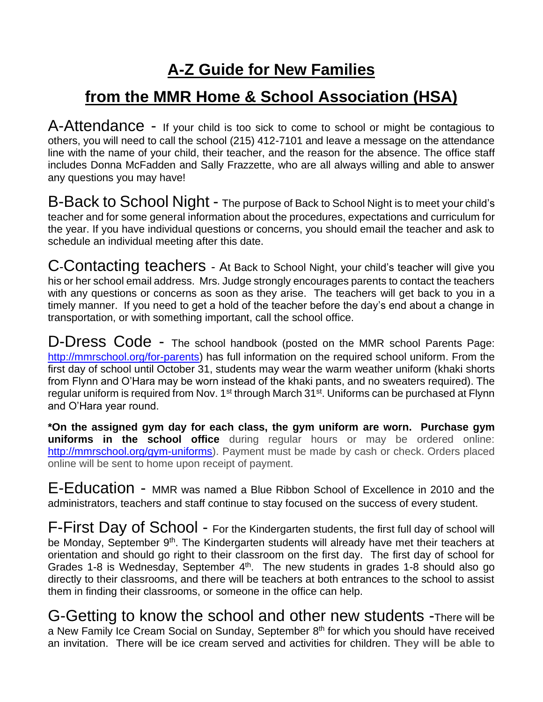# **A-Z Guide for New Families**

## **from the MMR Home & School Association (HSA)**

A-Attendance - If your child is too sick to come to school or might be contagious to others, you will need to call the school (215) 412-7101 and leave a message on the attendance line with the name of your child, their teacher, and the reason for the absence. The office staff includes Donna McFadden and Sally Frazzette, who are all always willing and able to answer any questions you may have!

B-Back to School Night - The purpose of Back to School Night is to meet your child's teacher and for some general information about the procedures, expectations and curriculum for the year. If you have individual questions or concerns, you should email the teacher and ask to schedule an individual meeting after this date.

C-Contacting teachers - At Back to School Night, your child's teacher will give you his or her school email address. Mrs. Judge strongly encourages parents to contact the teachers with any questions or concerns as soon as they arise. The teachers will get back to you in a timely manner. If you need to get a hold of the teacher before the day's end about a change in transportation, or with something important, call the school office.

D-Dress Code - The school handbook (posted on the MMR school Parents Page: [http://mmrschool.org/for-parents\)](http://mmrschool.org/for-parents) has full information on the required school uniform. From the first day of school until October 31, students may wear the warm weather uniform (khaki shorts from Flynn and O'Hara may be worn instead of the khaki pants, and no sweaters required). The regular uniform is required from Nov. 1<sup>st</sup> through March 31<sup>st</sup>. Uniforms can be purchased at Flynn and O'Hara year round.

**\*On the assigned gym day for each class, the gym uniform are worn. Purchase gym uniforms in the school office** during regular hours or may be ordered online: [http://mmrschool.org/gym-uniforms\)](http://mmrschool.org/gym-uniforms). Payment must be made by cash or check. Orders placed online will be sent to home upon receipt of payment.

E-Education - MMR was named a Blue Ribbon School of Excellence in 2010 and the administrators, teachers and staff continue to stay focused on the success of every student.

F-First Day of School - For the Kindergarten students, the first full day of school will be Monday, September 9<sup>th</sup>. The Kindergarten students will already have met their teachers at orientation and should go right to their classroom on the first day. The first day of school for Grades 1-8 is Wednesday, September  $4<sup>th</sup>$ . The new students in grades 1-8 should also go directly to their classrooms, and there will be teachers at both entrances to the school to assist them in finding their classrooms, or someone in the office can help.

G-Getting to know the school and other new students -There will be a New Family Ice Cream Social on Sunday, September 8<sup>th</sup> for which you should have received an invitation. There will be ice cream served and activities for children. **They will be able to**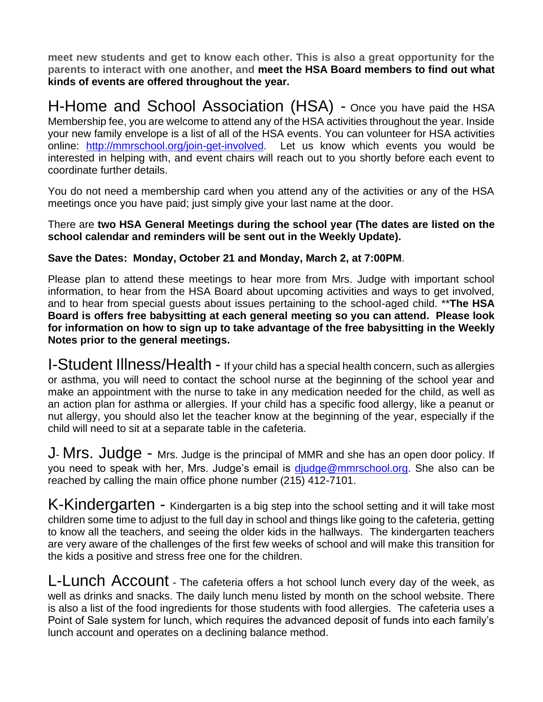**meet new students and get to know each other. This is also a great opportunity for the parents to interact with one another, and meet the HSA Board members to find out what kinds of events are offered throughout the year.**

H-Home and School Association (HSA) - Once you have paid the HSA Membership fee, you are welcome to attend any of the HSA activities throughout the year. Inside your new family envelope is a list of all of the HSA events. You can volunteer for HSA activities online: [http://mmrschool.org/join-get-involved.](http://mmrschool.org/join-get-involved) Let us know which events you would be interested in helping with, and event chairs will reach out to you shortly before each event to coordinate further details.

You do not need a membership card when you attend any of the activities or any of the HSA meetings once you have paid; just simply give your last name at the door.

There are **two HSA General Meetings during the school year (The dates are listed on the school calendar and reminders will be sent out in the Weekly Update).** 

## **Save the Dates: Monday, October 21 and Monday, March 2, at 7:00PM**.

Please plan to attend these meetings to hear more from Mrs. Judge with important school information, to hear from the HSA Board about upcoming activities and ways to get involved, and to hear from special guests about issues pertaining to the school-aged child. \*\***The HSA Board is offers free babysitting at each general meeting so you can attend. Please look for information on how to sign up to take advantage of the free babysitting in the Weekly Notes prior to the general meetings.**

I-Student Illness/Health - If your child has a special health concern, such as allergies or asthma, you will need to contact the school nurse at the beginning of the school year and make an appointment with the nurse to take in any medication needed for the child, as well as an action plan for asthma or allergies. If your child has a specific food allergy, like a peanut or nut allergy, you should also let the teacher know at the beginning of the year, especially if the child will need to sit at a separate table in the cafeteria.

J- Mrs. Judge - Mrs. Judge is the principal of MMR and she has an open door policy. If you need to speak with her, Mrs. Judge's email is [djudge@mmrschool.org.](mailto:djudge@mmrschool.org) She also can be reached by calling the main office phone number (215) 412-7101.

K-Kindergarten - Kindergarten is a big step into the school setting and it will take most children some time to adjust to the full day in school and things like going to the cafeteria, getting to know all the teachers, and seeing the older kids in the hallways. The kindergarten teachers are very aware of the challenges of the first few weeks of school and will make this transition for the kids a positive and stress free one for the children.

L-Lunch Account - The cafeteria offers a hot school lunch every day of the week, as well as drinks and snacks. The daily lunch menu listed by month on the school website. There is also a list of the food ingredients for those students with food allergies. The cafeteria uses a Point of Sale system for lunch, which requires the advanced deposit of funds into each family's lunch account and operates on a declining balance method.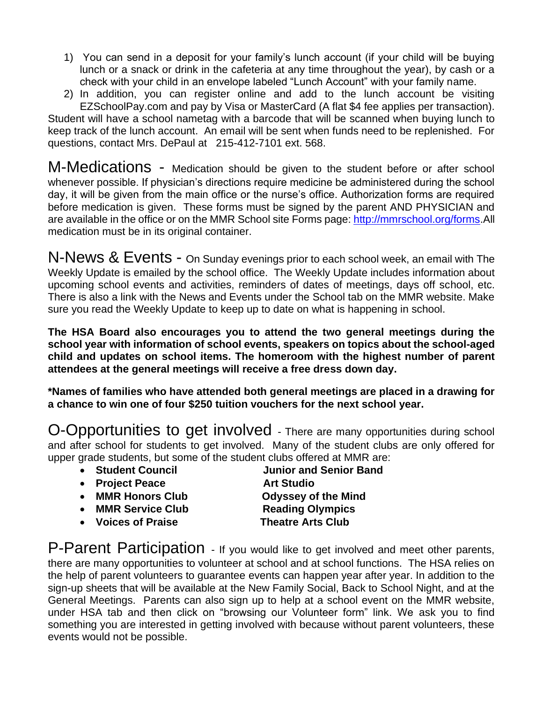- 1) You can send in a deposit for your family's lunch account (if your child will be buying lunch or a snack or drink in the cafeteria at any time throughout the year), by cash or a check with your child in an envelope labeled "Lunch Account" with your family name.
- 2) In addition, you can register online and add to the lunch account be visiting EZSchoolPay.com and pay by Visa or MasterCard (A flat \$4 fee applies per transaction).

Student will have a school nametag with a barcode that will be scanned when buying lunch to keep track of the lunch account. An email will be sent when funds need to be replenished. For questions, contact Mrs. DePaul at 215-412-7101 ext. 568.

M-Medications - Medication should be given to the student before or after school whenever possible. If physician's directions require medicine be administered during the school day, it will be given from the main office or the nurse's office. Authorization forms are required before medication is given. These forms must be signed by the parent AND PHYSICIAN and are available in the office or on the MMR School site Forms page[: http://mmrschool.org/forms.](http://mmrschool.org/forms)All medication must be in its original container.

N-News & Events - On Sunday evenings prior to each school week, an email with The Weekly Update is emailed by the school office. The Weekly Update includes information about upcoming school events and activities, reminders of dates of meetings, days off school, etc. There is also a link with the News and Events under the School tab on the MMR website. Make sure you read the Weekly Update to keep up to date on what is happening in school.

**The HSA Board also encourages you to attend the two general meetings during the school year with information of school events, speakers on topics about the school-aged child and updates on school items. The homeroom with the highest number of parent attendees at the general meetings will receive a free dress down day.**

**\*Names of families who have attended both general meetings are placed in a drawing for a chance to win one of four \$250 tuition vouchers for the next school year.**

O-Opportunities to get involved - There are many opportunities during school and after school for students to get involved. Many of the student clubs are only offered for upper grade students, but some of the student clubs offered at MMR are:

- 
- **Project Peace Art Studio**
- **MMR Honors Club Odyssey of the Mind**
- **MMR Service Club Reading Olympics**
- **Voices of Praise Theatre Arts Club**

• **Student Council Junior and Senior Band** 

P-Parent Participation - If you would like to get involved and meet other parents, there are many opportunities to volunteer at school and at school functions. The HSA relies on the help of parent volunteers to guarantee events can happen year after year. In addition to the sign-up sheets that will be available at the New Family Social, Back to School Night, and at the General Meetings. Parents can also sign up to help at a school event on the MMR website, under HSA tab and then click on "browsing our Volunteer form" link. We ask you to find something you are interested in getting involved with because without parent volunteers, these events would not be possible.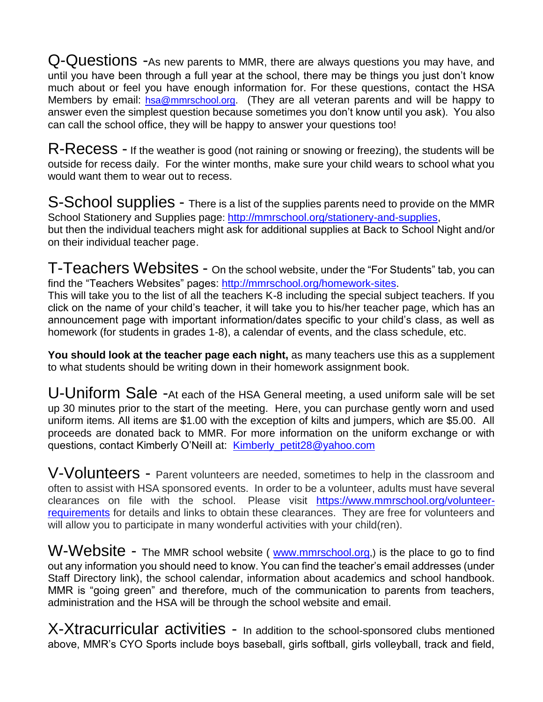Q-Questions -As new parents to MMR, there are always questions you may have, and until you have been through a full year at the school, there may be things you just don't know much about or feel you have enough information for. For these questions, contact the HSA Members by email: [hsa@mmrschool.org.](mailto:hsa@mmrschool.org) (They are all veteran parents and will be happy to answer even the simplest question because sometimes you don't know until you ask). You also can call the school office, they will be happy to answer your questions too!

 $\mathsf{R}\text{-}\mathsf{Recess}$  - If the weather is good (not raining or snowing or freezing), the students will be outside for recess daily. For the winter months, make sure your child wears to school what you would want them to wear out to recess.

S-School supplies - There is a list of the supplies parents need to provide on the MMR School Stationery and Supplies page: [http://mmrschool.org/stationery-and-supplies,](http://mmrschool.org/stationery-and-supplies) but then the individual teachers might ask for additional supplies at Back to School Night and/or on their individual teacher page.

T-Teachers Websites - On the school website, under the "For Students" tab, you can find the "Teachers Websites" pages: [http://mmrschool.org/homework-sites.](http://mmrschool.org/homework-sites)

This will take you to the list of all the teachers K-8 including the special subject teachers. If you click on the name of your child's teacher, it will take you to his/her teacher page, which has an announcement page with important information/dates specific to your child's class, as well as homework (for students in grades 1-8), a calendar of events, and the class schedule, etc.

**You should look at the teacher page each night,** as many teachers use this as a supplement to what students should be writing down in their homework assignment book.

U-Uniform Sale -At each of the HSA General meeting, a used uniform sale will be set up 30 minutes prior to the start of the meeting. Here, you can purchase gently worn and used uniform items. All items are \$1.00 with the exception of kilts and jumpers, which are \$5.00. All proceeds are donated back to MMR. For more information on the uniform exchange or with questions, contact Kimberly O'Neill at: [Kimberly\\_petit28@yahoo.com](mailto:Kimberly_petit28@yahoo.com)

V-Volunteers - Parent volunteers are needed, sometimes to help in the classroom and often to assist with HSA sponsored events. In order to be a volunteer, adults must have several clearances on file with the school. Please visit [https://www.mmrschool.org/volunteer](https://www.mmrschool.org/volunteer-requirements)[requirements](https://www.mmrschool.org/volunteer-requirements) for details and links to obtain these clearances. They are free for volunteers and will allow you to participate in many wonderful activities with your child(ren).

W-Website - The MMR school website ( [www.mmrschool.org](http://www.mmrschool.org/),) is the place to go to find out any information you should need to know. You can find the teacher's email addresses (under Staff Directory link), the school calendar, information about academics and school handbook. MMR is "going green" and therefore, much of the communication to parents from teachers, administration and the HSA will be through the school website and email.

X-Xtracurricular activities - In addition to the school-sponsored clubs mentioned above, MMR's CYO Sports include boys baseball, girls softball, girls volleyball, track and field,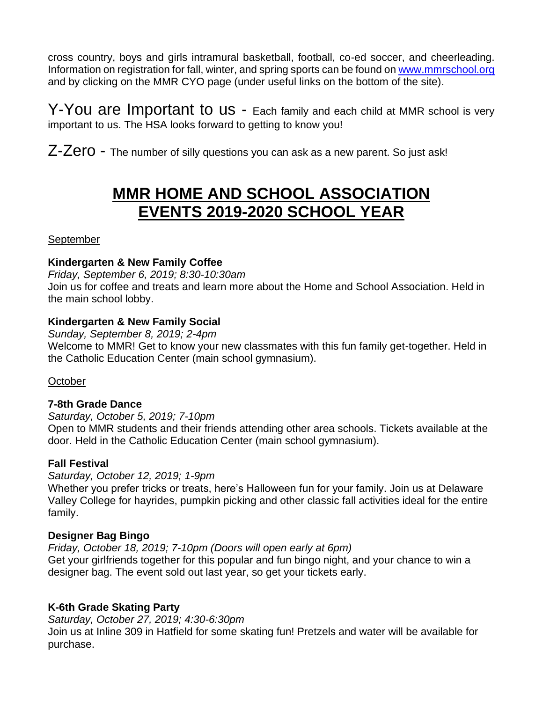cross country, boys and girls intramural basketball, football, co-ed soccer, and cheerleading. Information on registration for fall, winter, and spring sports can be found on [www.mmrschool.org](http://www.mmrschool.org/) and by clicking on the MMR CYO page (under useful links on the bottom of the site).

Y-You are Important to us - Each family and each child at MMR school is very important to us. The HSA looks forward to getting to know you!

Z-Zero - The number of silly questions you can ask as a new parent. So just ask!

## **MMR HOME AND SCHOOL ASSOCIATION EVENTS 2019-2020 SCHOOL YEAR**

September

#### **Kindergarten & New Family Coffee**

*Friday, September 6, 2019; 8:30-10:30am* Join us for coffee and treats and learn more about the Home and School Association. Held in the main school lobby.

#### **Kindergarten & New Family Social**

*Sunday, September 8, 2019; 2-4pm*

Welcome to MMR! Get to know your new classmates with this fun family get-together. Held in the Catholic Education Center (main school gymnasium).

**October** 

## **7-8th Grade Dance**

*Saturday, October 5, 2019; 7-10pm*

Open to MMR students and their friends attending other area schools. Tickets available at the door. Held in the Catholic Education Center (main school gymnasium).

## **Fall Festival**

*Saturday, October 12, 2019; 1-9pm*

Whether you prefer tricks or treats, here's Halloween fun for your family. Join us at Delaware Valley College for hayrides, pumpkin picking and other classic fall activities ideal for the entire family.

## **Designer Bag Bingo**

*Friday, October 18, 2019; 7-10pm (Doors will open early at 6pm)*  Get your girlfriends together for this popular and fun bingo night, and your chance to win a designer bag. The event sold out last year, so get your tickets early.

## **K-6th Grade Skating Party**

*Saturday, October 27, 2019; 4:30-6:30pm* Join us at Inline 309 in Hatfield for some skating fun! Pretzels and water will be available for purchase.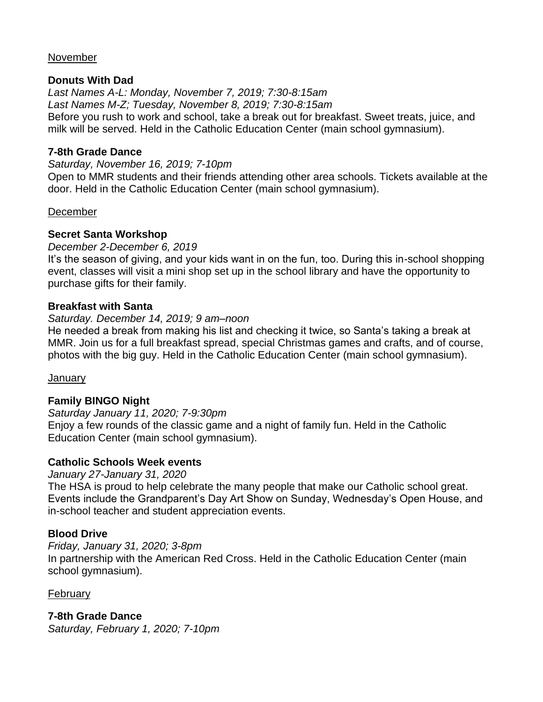#### November

#### **Donuts With Dad**

*Last Names A-L: Monday, November 7, 2019; 7:30-8:15am Last Names M-Z; Tuesday, November 8, 2019; 7:30-8:15am* Before you rush to work and school, take a break out for breakfast. Sweet treats, juice, and milk will be served. Held in the Catholic Education Center (main school gymnasium).

#### **7-8th Grade Dance**

*Saturday, November 16, 2019; 7-10pm* Open to MMR students and their friends attending other area schools. Tickets available at the door. Held in the Catholic Education Center (main school gymnasium).

#### December

#### **Secret Santa Workshop**

#### *December 2-December 6, 2019*

It's the season of giving, and your kids want in on the fun, too. During this in-school shopping event, classes will visit a mini shop set up in the school library and have the opportunity to purchase gifts for their family.

#### **Breakfast with Santa**

#### *Saturday. December 14, 2019; 9 am–noon*

He needed a break from making his list and checking it twice, so Santa's taking a break at MMR. Join us for a full breakfast spread, special Christmas games and crafts, and of course, photos with the big guy. Held in the Catholic Education Center (main school gymnasium).

January

## **Family BINGO Night**

*Saturday January 11, 2020; 7-9:30pm* Enjoy a few rounds of the classic game and a night of family fun. Held in the Catholic Education Center (main school gymnasium).

#### **Catholic Schools Week events**

*January 27-January 31, 2020*

The HSA is proud to help celebrate the many people that make our Catholic school great. Events include the Grandparent's Day Art Show on Sunday, Wednesday's Open House, and in-school teacher and student appreciation events.

## **Blood Drive**

#### *Friday, January 31, 2020; 3-8pm*

In partnership with the American Red Cross. Held in the Catholic Education Center (main school gymnasium).

#### February

**7-8th Grade Dance** *Saturday, February 1, 2020; 7-10pm*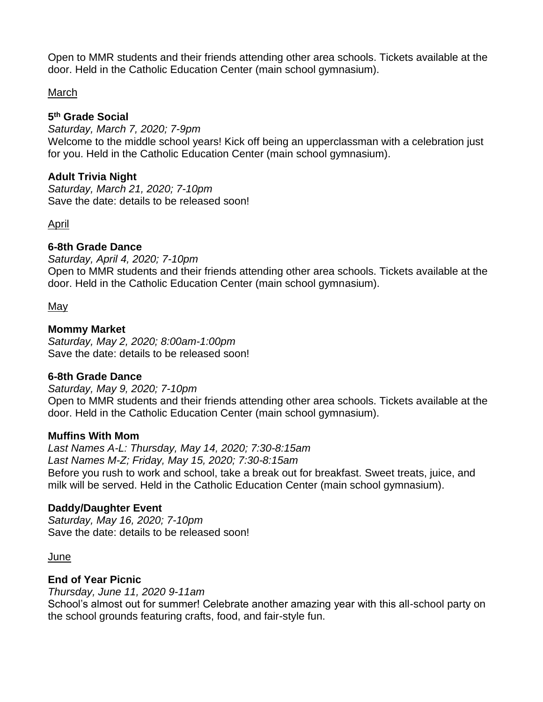Open to MMR students and their friends attending other area schools. Tickets available at the door. Held in the Catholic Education Center (main school gymnasium).

#### March

#### **5 th Grade Social**

*Saturday, March 7, 2020; 7-9pm* Welcome to the middle school years! Kick off being an upperclassman with a celebration just for you. Held in the Catholic Education Center (main school gymnasium).

#### **Adult Trivia Night**

*Saturday, March 21, 2020; 7-10pm* Save the date: details to be released soon!

#### April

## **6-8th Grade Dance**

*Saturday, April 4, 2020; 7-10pm* Open to MMR students and their friends attending other area schools. Tickets available at the door. Held in the Catholic Education Center (main school gymnasium).

#### May

#### **Mommy Market**

*Saturday, May 2, 2020; 8:00am-1:00pm* Save the date: details to be released soon!

#### **6-8th Grade Dance**

*Saturday, May 9, 2020; 7-10pm* Open to MMR students and their friends attending other area schools. Tickets available at the door. Held in the Catholic Education Center (main school gymnasium).

#### **Muffins With Mom**

*Last Names A-L: Thursday, May 14, 2020; 7:30-8:15am Last Names M-Z; Friday, May 15, 2020; 7:30-8:15am* Before you rush to work and school, take a break out for breakfast. Sweet treats, juice, and milk will be served. Held in the Catholic Education Center (main school gymnasium).

#### **Daddy/Daughter Event**

*Saturday, May 16, 2020; 7-10pm* Save the date: details to be released soon!

June

#### **End of Year Picnic**

*Thursday, June 11, 2020 9-11am*

School's almost out for summer! Celebrate another amazing year with this all-school party on the school grounds featuring crafts, food, and fair-style fun.